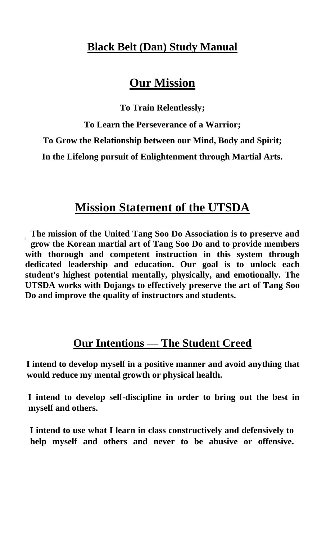## **Black Belt (Dan) Study Manual**

## **Our Mission**

**To Train Relentlessly;**

**To Learn the Perseverance of a Warrior;**

**To Grow the Relationship between our Mind, Body and Spirit;**

**In the Lifelong pursuit of Enlightenment through Martial Arts.**

## **Mission Statement of the UTSDA**

**The mission of the United Tang Soo Do Association is to preserve and grow the Korean martial art of Tang Soo Do and to provide members with thorough and competent instruction in this system through dedicated leadership and education. Our goal is to unlock each student's highest potential mentally, physically, and emotionally. The UTSDA works with Dojangs to effectively preserve the art of Tang Soo Do and improve the quality of instructors and students.**

## **Our Intentions — The Student Creed**

**I intend to develop myself in a positive manner and avoid anything that would reduce my mental growth or physical health.**

**I intend to develop self-discipline in order to bring out the best in myself and others.**

**I intend to use what I learn in class constructively and defensively to help myself and others and never to be abusive or offensive.**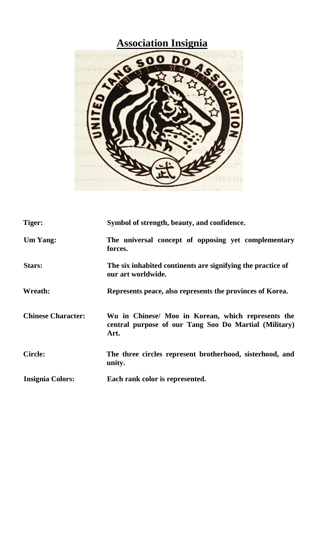# **Association Insignia**



| Tiger:                    | Symbol of strength, beauty, and confidence.                                                                         |
|---------------------------|---------------------------------------------------------------------------------------------------------------------|
| <b>Um Yang:</b>           | The universal concept of opposing yet complementary<br>forces.                                                      |
| Stars:                    | The six inhabited continents are signifying the practice of<br>our art worldwide.                                   |
| Wreath:                   | Represents peace, also represents the provinces of Korea.                                                           |
| <b>Chinese Character:</b> | Wu in Chinese/ Moo in Korean, which represents the<br>central purpose of our Tang Soo Do Martial (Military)<br>Art. |
| <b>Circle:</b>            | The three circles represent brotherhood, sisterhood, and<br>unity.                                                  |
| <b>Insignia Colors:</b>   | Each rank color is represented.                                                                                     |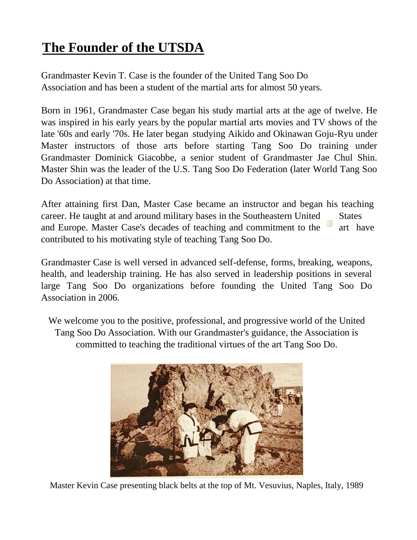## **The Founder of the UTSDA**

Grandmaster Kevin T. Case is the founder of the United Tang Soo Do Association and has been a student of the martial arts for almost 50 years.

Born in 1961, Grandmaster Case began his study martial arts at the age of twelve. He was inspired in his early years by the popular martial arts movies and TV shows of the late '60s and early '70s. He later began studying Aikido and Okinawan Goju-Ryu under Master instructors of those arts before starting Tang Soo Do training under Grandmaster Dominick Giacobbe, a senior student of Grandmaster Jae Chul Shin. Master Shin was the leader of the U.S. Tang Soo Do Federation (later World Tang Soo Do Association) at that time.

After attaining first Dan, Master Case became an instructor and began his teaching career. He taught at and around military bases in the Southeastern United States and Europe. Master Case's decades of teaching and commitment to the art have contributed to his motivating style of teaching Tang Soo Do.

Grandmaster Case is well versed in advanced self-defense, forms, breaking, weapons, health, and leadership training. He has also served in leadership positions in several large Tang Soo Do organizations before founding the United Tang Soo Do Association in 2006.

We welcome you to the positive, professional, and progressive world of the United Tang Soo Do Association. With our Grandmaster's guidance, the Association is committed to teaching the traditional virtues of the art Tang Soo Do.



Master Kevin Case presenting black belts at the top of Mt. Vesuvius, Naples, Italy, 1989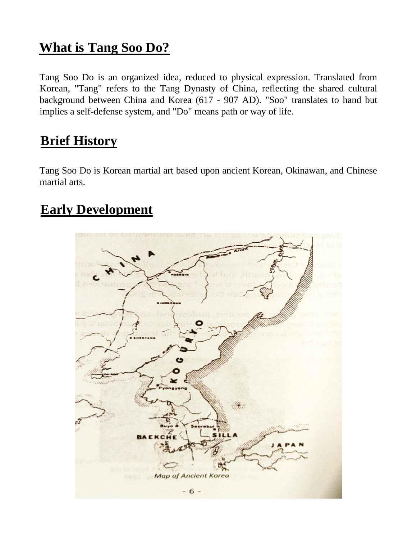## **What is Tang Soo Do?**

Tang Soo Do is an organized idea, reduced to physical expression. Translated from Korean, "Tang" refers to the Tang Dynasty of China, reflecting the shared cultural background between China and Korea (617 - 907 AD). "Soo" translates to hand but implies a self-defense system, and "Do" means path or way of life.

## **Brief History**

Tang Soo Do is Korean martial art based upon ancient Korean, Okinawan, and Chinese martial arts.

## **Early Development**

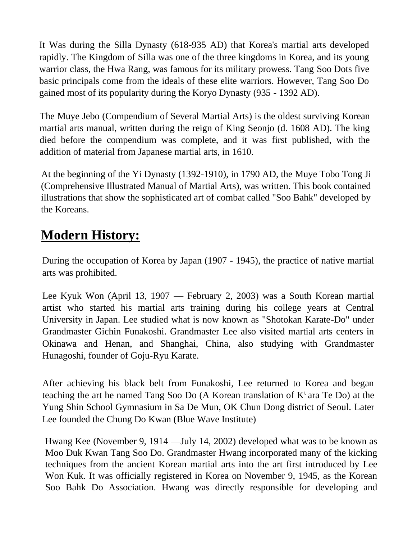It Was during the Silla Dynasty (618-935 AD) that Korea's martial arts developed rapidly. The Kingdom of Silla was one of the three kingdoms in Korea, and its young warrior class, the Hwa Rang, was famous for its military prowess. Tang Soo Dots five basic principals come from the ideals of these elite warriors. However, Tang Soo Do gained most of its popularity during the Koryo Dynasty (935 - 1392 AD).

The Muye Jebo (Compendium of Several Martial Arts) is the oldest surviving Korean martial arts manual, written during the reign of King Seonjo (d. 1608 AD). The king died before the compendium was complete, and it was first published, with the addition of material from Japanese martial arts, in 1610.

At the beginning of the Yi Dynasty (1392-1910), in 1790 AD, the Muye Tobo Tong Ji (Comprehensive Illustrated Manual of Martial Arts), was written. This book contained illustrations that show the sophisticated art of combat called "Soo Bahk" developed by the Koreans.

## **Modern History:**

During the occupation of Korea by Japan (1907 - 1945), the practice of native martial arts was prohibited.

Lee Kyuk Won (April 13, 1907 — February 2, 2003) was a South Korean martial artist who started his martial arts training during his college years at Central University in Japan. Lee studied what is now known as "Shotokan Karate-Do" under Grandmaster Gichin Funakoshi. Grandmaster Lee also visited martial arts centers in Okinawa and Henan, and Shanghai, China, also studying with Grandmaster Hunagoshi, founder of Goju-Ryu Karate.

After achieving his black belt from Funakoshi, Lee returned to Korea and began teaching the art he named Tang Soo Do (A Korean translation of  $K^t$  ara Te Do) at the Yung Shin School Gymnasium in Sa De Mun, OK Chun Dong district of Seoul. Later Lee founded the Chung Do Kwan (Blue Wave Institute)

Hwang Kee (November 9, 1914 —July 14, 2002) developed what was to be known as Moo Duk Kwan Tang Soo Do. Grandmaster Hwang incorporated many of the kicking techniques from the ancient Korean martial arts into the art first introduced by Lee Won Kuk. It was officially registered in Korea on November 9, 1945, as the Korean Soo Bahk Do Association. Hwang was directly responsible for developing and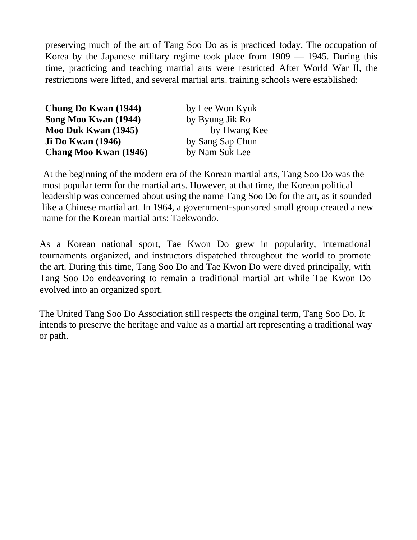preserving much of the art of Tang Soo Do as is practiced today. The occupation of Korea by the Japanese military regime took place from 1909 — 1945. During this time, practicing and teaching martial arts were restricted After World War Il, the restrictions were lifted, and several martial arts training schools were established:

| Chung Do Kwan (1944)     | by Lee Won Kyuk  |
|--------------------------|------------------|
| Song Moo Kwan (1944)     | by Byung Jik Ro  |
| Moo Duk Kwan (1945)      | by Hwang Kee     |
| <b>Ji Do Kwan (1946)</b> | by Sang Sap Chun |
| Chang Moo Kwan (1946)    | by Nam Suk Lee   |

At the beginning of the modern era of the Korean martial arts, Tang Soo Do was the most popular term for the martial arts. However, at that time, the Korean political leadership was concerned about using the name Tang Soo Do for the art, as it sounded like a Chinese martial art. In 1964, a government-sponsored small group created a new name for the Korean martial arts: Taekwondo.

As a Korean national sport, Tae Kwon Do grew in popularity, international tournaments organized, and instructors dispatched throughout the world to promote the art. During this time, Tang Soo Do and Tae Kwon Do were dived principally, with Tang Soo Do endeavoring to remain a traditional martial art while Tae Kwon Do evolved into an organized sport.

The United Tang Soo Do Association still respects the original term, Tang Soo Do. It intends to preserve the heritage and value as a martial art representing a traditional way or path.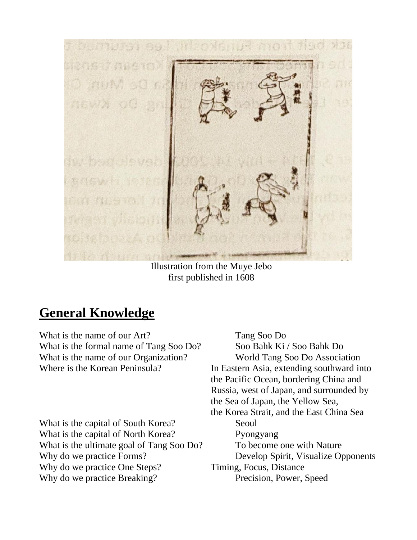

Illustration from the Muye Jebo first published in 1608

## **General Knowledge**

What is the name of our Art? Tang Soo Do What is the formal name of Tang Soo Do? Soo Bahk Ki / Soo Bahk Do What is the name of our Organization? World Tang Soo Do Association

What is the capital of South Korea? Seoul What is the capital of North Korea? Pyongyang What is the ultimate goal of Tang Soo Do? To become one with Nature Why do we practice Forms? Develop Spirit, Visualize Opponents Why do we practice One Steps? Timing, Focus, Distance Why do we practice Breaking? Precision, Power, Speed

Where is the Korean Peninsula? In Eastern Asia, extending southward into the Pacific Ocean, bordering China and Russia, west of Japan, and surrounded by the Sea of Japan, the Yellow Sea, the Korea Strait, and the East China Sea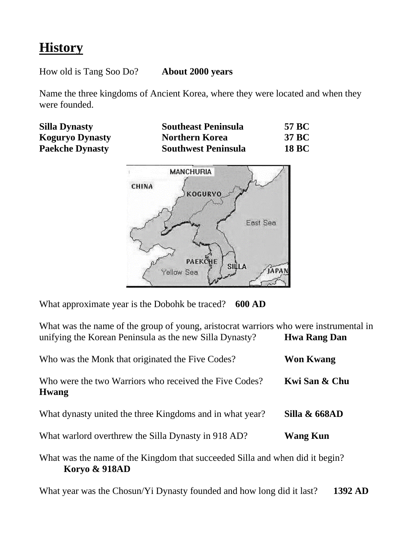## **History**

How old is Tang Soo Do? **About 2000 years**

Name the three kingdoms of Ancient Korea, where they were located and when they were founded.

| <b>Silla Dynasty</b>   | <b>Southeast Peninsula</b> | 57 BC        |
|------------------------|----------------------------|--------------|
| <b>Koguryo Dynasty</b> | <b>Northern Korea</b>      | 37 BC        |
| <b>Paekche Dynasty</b> | <b>Southwest Peninsula</b> | <b>18 BC</b> |



What approximate year is the Dobohk be traced? **600 AD**

What was the name of the group of young, aristocrat warriors who were instrumental in unifying the Korean Peninsula as the new Silla Dynasty? **Hwa Rang Dan**

| Who was the Monk that originated the Five Codes?                             | <b>Won Kwang</b> |  |
|------------------------------------------------------------------------------|------------------|--|
| Who were the two Warriors who received the Five Codes?<br><b>Hwang</b>       | Kwi San & Chu    |  |
| What dynasty united the three Kingdoms and in what year?                     | Silla & 668AD    |  |
| What warlord overthrew the Silla Dynasty in 918 AD?                          | <b>Wang Kun</b>  |  |
| What was the name of the Kingdom that succeeded Silla and when did it begin? |                  |  |

**Koryo & 918AD**

What year was the Chosun/Yi Dynasty founded and how long did it last? **1392 AD**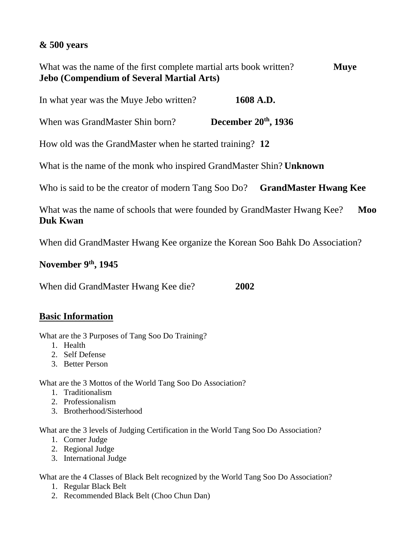## **& 500 years**

What was the name of the first complete martial arts book written? **Muye Jebo (Compendium of Several Martial Arts)**

In what year was the Muye Jebo written? **1608 A.D.**

**When was GrandMaster Shin born?** December 20<sup>th</sup>, 1936

How old was the GrandMaster when he started training? **12**

What is the name of the monk who inspired GrandMaster Shin? **Unknown**

Who is said to be the creator of modern Tang Soo Do? **GrandMaster Hwang Kee**

What was the name of schools that were founded by GrandMaster Hwang Kee? Moo **Duk Kwan**

When did GrandMaster Hwang Kee organize the Korean Soo Bahk Do Association?

## **November 9th , 1945**

When did GrandMaster Hwang Kee die? **2002**

## **Basic Information**

What are the 3 Purposes of Tang Soo Do Training?

- 1. Health
- 2. Self Defense
- 3. Better Person

What are the 3 Mottos of the World Tang Soo Do Association?

- 1. Traditionalism
- 2. Professionalism
- 3. Brotherhood/Sisterhood

What are the 3 levels of Judging Certification in the World Tang Soo Do Association?

- 1. Corner Judge
- 2. Regional Judge
- 3. International Judge

What are the 4 Classes of Black Belt recognized by the World Tang Soo Do Association?

- 1. Regular Black Belt
- 2. Recommended Black Belt (Choo Chun Dan)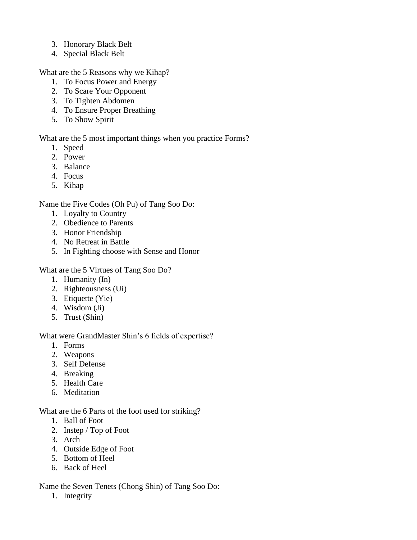- 3. Honorary Black Belt
- 4. Special Black Belt

What are the 5 Reasons why we Kihap?

- 1. To Focus Power and Energy
- 2. To Scare Your Opponent
- 3. To Tighten Abdomen
- 4. To Ensure Proper Breathing
- 5. To Show Spirit

What are the 5 most important things when you practice Forms?

- 1. Speed
- 2. Power
- 3. Balance
- 4. Focus
- 5. Kihap

Name the Five Codes (Oh Pu) of Tang Soo Do:

- 1. Loyalty to Country
- 2. Obedience to Parents
- 3. Honor Friendship
- 4. No Retreat in Battle
- 5. In Fighting choose with Sense and Honor

What are the 5 Virtues of Tang Soo Do?

- 1. Humanity (In)
- 2. Righteousness (Ui)
- 3. Etiquette (Yie)
- 4. Wisdom (Ji)
- 5. Trust (Shin)

What were GrandMaster Shin's 6 fields of expertise?

- 1. Forms
- 2. Weapons
- 3. Self Defense
- 4. Breaking
- 5. Health Care
- 6. Meditation

What are the 6 Parts of the foot used for striking?

- 1. Ball of Foot
- 2. Instep / Top of Foot
- 3. Arch
- 4. Outside Edge of Foot
- 5. Bottom of Heel
- 6. Back of Heel

Name the Seven Tenets (Chong Shin) of Tang Soo Do:

1. Integrity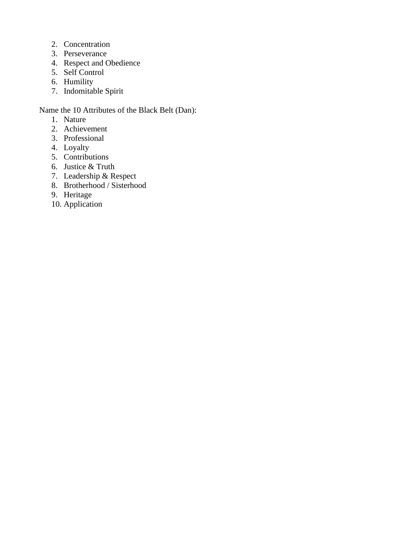- 2. Concentration
- 3. Perseverance
- 4. Respect and Obedience
- 5. Self Control
- 6. Humility
- 7. Indomitable Spirit

Name the 10 Attributes of the Black Belt (Dan):

- 1. Nature
- 2. Achievement
- 3. Professional
- 4. Loyalty
- 5. Contributions
- 6. Justice & Truth
- 7. Leadership & Respect
- 8. Brotherhood / Sisterhood
- 9. Heritage
- 10. Application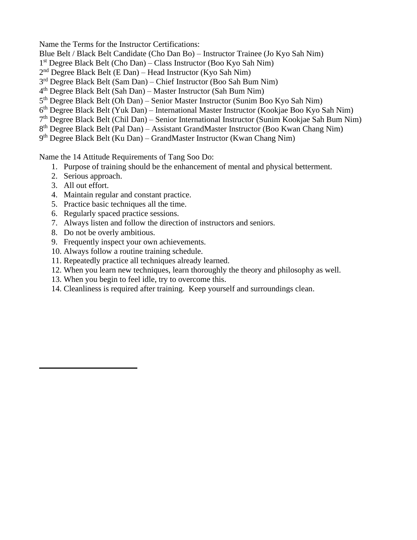Name the Terms for the Instructor Certifications:

- Blue Belt / Black Belt Candidate (Cho Dan Bo) Instructor Trainee (Jo Kyo Sah Nim)
- 1 st Degree Black Belt (Cho Dan) Class Instructor (Boo Kyo Sah Nim)
- 2<sup>nd</sup> Degree Black Belt (E Dan) Head Instructor (Kyo Sah Nim)
- 3<sup>rd</sup> Degree Black Belt (Sam Dan) Chief Instructor (Boo Sah Bum Nim)
- 4 th Degree Black Belt (Sah Dan) Master Instructor (Sah Bum Nim)
- 5 th Degree Black Belt (Oh Dan) Senior Master Instructor (Sunim Boo Kyo Sah Nim)
- 6<sup>th</sup> Degree Black Belt (Yuk Dan) International Master Instructor (Kookjae Boo Kyo Sah Nim)
- 7<sup>th</sup> Degree Black Belt (Chil Dan) Senior International Instructor (Sunim Kookjae Sah Bum Nim)
- 8<sup>th</sup> Degree Black Belt (Pal Dan) Assistant GrandMaster Instructor (Boo Kwan Chang Nim)
- 9 th Degree Black Belt (Ku Dan) GrandMaster Instructor (Kwan Chang Nim)

Name the 14 Attitude Requirements of Tang Soo Do:

- 1. Purpose of training should be the enhancement of mental and physical betterment.
- 2. Serious approach.
- 3. All out effort.
- 4. Maintain regular and constant practice.
- 5. Practice basic techniques all the time.
- 6. Regularly spaced practice sessions.
- 7. Always listen and follow the direction of instructors and seniors.
- 8. Do not be overly ambitious.
- 9. Frequently inspect your own achievements.
- 10. Always follow a routine training schedule.
- 11. Repeatedly practice all techniques already learned.
- 12. When you learn new techniques, learn thoroughly the theory and philosophy as well.
- 13. When you begin to feel idle, try to overcome this.
- 14. Cleanliness is required after training. Keep yourself and surroundings clean.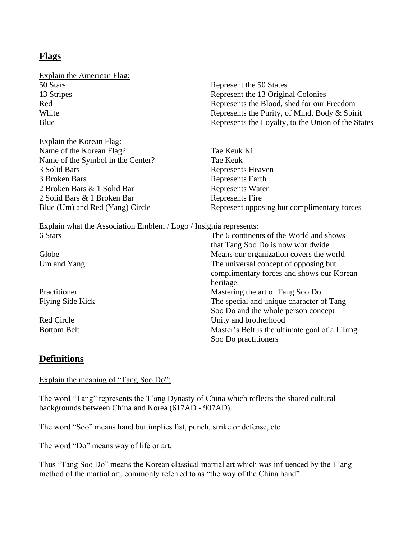## **Flags**

| <b>Explain the American Flag:</b> |                                                    |
|-----------------------------------|----------------------------------------------------|
| 50 Stars                          | Represent the 50 States                            |
| 13 Stripes                        | Represent the 13 Original Colonies                 |
| Red                               | Represents the Blood, shed for our Freedom         |
| White                             | Represents the Purity, of Mind, Body & Spirit      |
| Blue                              | Represents the Loyalty, to the Union of the States |
| Explain the Korean Flag:          |                                                    |
| Name of the Korean Flag?          | Tae Keuk Ki                                        |
| Name of the Symbol in the Center? | Tae Keuk                                           |
| 3 Solid Bars                      | Represents Heaven                                  |
| 3 Broken Bars                     | Represents Earth                                   |
| 2 Broken Bars & 1 Solid Bar       | <b>Represents Water</b>                            |
| 2 Solid Bars & 1 Broken Bar       | Represents Fire                                    |

Blue (Um) and Red (Yang) Circle Represent opposing but complimentary forces

heritage

Soo Do practitioners

that Tang Soo Do is now worldwide

Soo Do and the whole person concept

complimentary forces and shows our Korean

Explain what the Association Emblem / Logo / Insignia represents: 6 Stars The 6 continents of the World and shows

Globe Means our organization covers the world Um and Yang The universal concept of opposing but

Practitioner Mastering the art of Tang Soo Do Flying Side Kick The special and unique character of Tang

Red Circle Unity and brotherhood

Bottom Belt **Master's Belt is the ultimate goal of all Tang** 

## **Definitions**

Explain the meaning of "Tang Soo Do":

The word "Tang" represents the T'ang Dynasty of China which reflects the shared cultural backgrounds between China and Korea (617AD - 907AD).

The word "Soo" means hand but implies fist, punch, strike or defense, etc.

The word "Do" means way of life or art.

Thus "Tang Soo Do" means the Korean classical martial art which was influenced by the T'ang method of the martial art, commonly referred to as "the way of the China hand".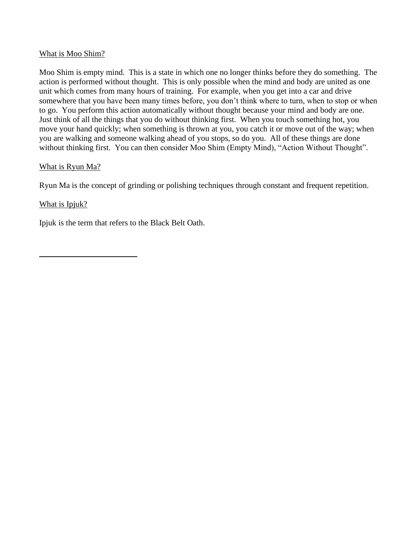### What is Moo Shim?

Moo Shim is empty mind. This is a state in which one no longer thinks before they do something. The action is performed without thought. This is only possible when the mind and body are united as one unit which comes from many hours of training. For example, when you get into a car and drive somewhere that you have been many times before, you don't think where to turn, when to stop or when to go. You perform this action automatically without thought because your mind and body are one. Just think of all the things that you do without thinking first. When you touch something hot, you move your hand quickly; when something is thrown at you, you catch it or move out of the way; when you are walking and someone walking ahead of you stops, so do you. All of these things are done without thinking first. You can then consider Moo Shim (Empty Mind), "Action Without Thought".

### What is Ryun Ma?

Ryun Ma is the concept of grinding or polishing techniques through constant and frequent repetition.

### What is Ipjuk?

Ipjuk is the term that refers to the Black Belt Oath.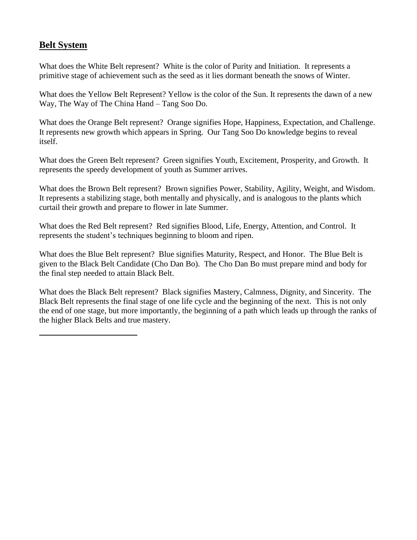## **Belt System**

What does the White Belt represent? White is the color of Purity and Initiation. It represents a primitive stage of achievement such as the seed as it lies dormant beneath the snows of Winter.

What does the Yellow Belt Represent? Yellow is the color of the Sun. It represents the dawn of a new Way, The Way of The China Hand – Tang Soo Do.

What does the Orange Belt represent? Orange signifies Hope, Happiness, Expectation, and Challenge. It represents new growth which appears in Spring. Our Tang Soo Do knowledge begins to reveal itself.

What does the Green Belt represent? Green signifies Youth, Excitement, Prosperity, and Growth. It represents the speedy development of youth as Summer arrives.

What does the Brown Belt represent? Brown signifies Power, Stability, Agility, Weight, and Wisdom. It represents a stabilizing stage, both mentally and physically, and is analogous to the plants which curtail their growth and prepare to flower in late Summer.

What does the Red Belt represent? Red signifies Blood, Life, Energy, Attention, and Control. It represents the student's techniques beginning to bloom and ripen.

What does the Blue Belt represent? Blue signifies Maturity, Respect, and Honor. The Blue Belt is given to the Black Belt Candidate (Cho Dan Bo). The Cho Dan Bo must prepare mind and body for the final step needed to attain Black Belt.

What does the Black Belt represent? Black signifies Mastery, Calmness, Dignity, and Sincerity. The Black Belt represents the final stage of one life cycle and the beginning of the next. This is not only the end of one stage, but more importantly, the beginning of a path which leads up through the ranks of the higher Black Belts and true mastery.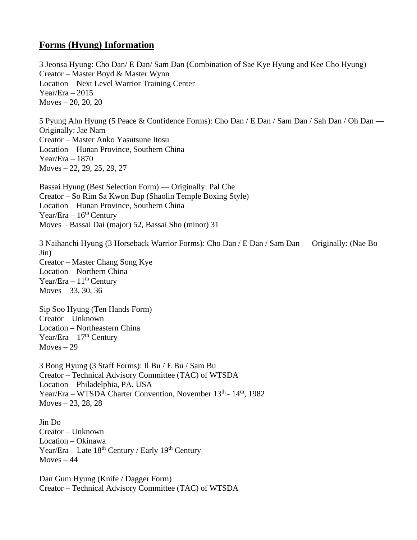## **Forms (Hyung) Information**

3 Jeonsa Hyung: Cho Dan/ E Dan/ Sam Dan (Combination of Sae Kye Hyung and Kee Cho Hyung) Creator – Master Boyd & Master Wynn Location – Next Level Warrior Training Center Year/Era – 2015 Moves  $-20, 20, 20$ 

5 Pyung Ahn Hyung (5 Peace & Confidence Forms): Cho Dan / E Dan / Sam Dan / Sah Dan / Oh Dan — Originally: Jae Nam Creator – Master Anko Yasutsune Itosu Location – Hunan Province, Southern China Year/Era – 1870 Moves – 22, 29, 25, 29, 27

Bassai Hyung (Best Selection Form) — Originally: Pal Che Creator – So Rim Sa Kwon Bup (Shaolin Temple Boxing Style) Location – Hunan Province, Southern China Year/Era – 16<sup>th</sup> Century Moves – Bassai Dai (major) 52, Bassai Sho (minor) 31

3 Naihanchi Hyung (3 Horseback Warrior Forms): Cho Dan / E Dan / Sam Dan — Originally: (Nae Bo Jin) Creator – Master Chang Song Kye Location – Northern China Year/Era –  $11^{th}$  Century Moves  $-33, 30, 36$ 

Sip Soo Hyung (Ten Hands Form) Creator – Unknown Location – Northeastern China Year/Era  $-17<sup>th</sup>$  Century Moves  $-29$ 

3 Bong Hyung (3 Staff Forms): Il Bu / E Bu / Sam Bu Creator – Technical Advisory Committee (TAC) of WTSDA Location – Philadelphia, PA, USA Year/Era – WTSDA Charter Convention, November 13<sup>th</sup> - 14<sup>th</sup>, 1982 Moves  $-23, 28, 28$ 

Jin Do Creator – Unknown Location – Okinawa Year/Era – Late  $18^{th}$  Century / Early  $19^{th}$  Century  $Moves - 44$ 

Dan Gum Hyung (Knife / Dagger Form) Creator – Technical Advisory Committee (TAC) of WTSDA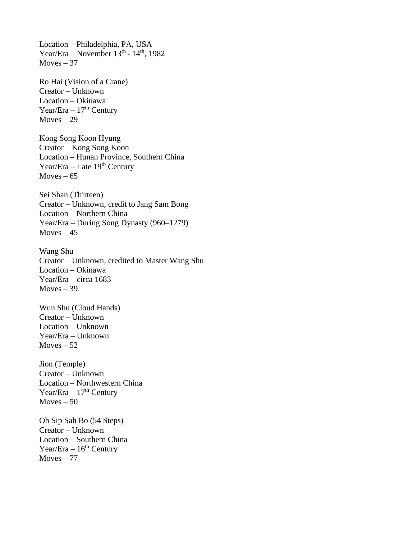Location – Philadelphia, PA, USA Year/Era – November  $13<sup>th</sup>$  -  $14<sup>th</sup>$ , 1982 Moves  $-37$ 

Ro Hai (Vision of a Crane) Creator – Unknown Location – Okinawa Year/Era –  $17<sup>th</sup>$  Century  $Moves - 29$ 

Kong Song Koon Hyung Creator – Kong Song Koon Location – Hunan Province, Southern China Year/Era – Late  $19<sup>th</sup>$  Century Moves  $-65$ 

Sei Shan (Thirteen) Creator – Unknown, credit to Jang Sam Bong Location – Northern China Year/Era – During Song Dynasty (960–1279)  $Moves - 45$ 

Wang Shu Creator – Unknown, credited to Master Wang Shu Location – Okinawa Year/Era – circa 1683  $Moves - 39$ 

Wun Shu (Cloud Hands) Creator – Unknown Location – Unknown Year/Era – Unknown  $Moves - 52$ 

Jion (Temple) Creator – Unknown Location – Northwestern China Year/Era –  $17<sup>th</sup>$  Century  $Moves - 50$ 

Oh Sip Sah Bo (54 Steps) Creator – Unknown Location – Southern China Year/Era –  $16<sup>th</sup>$  Century  $Moves - 77$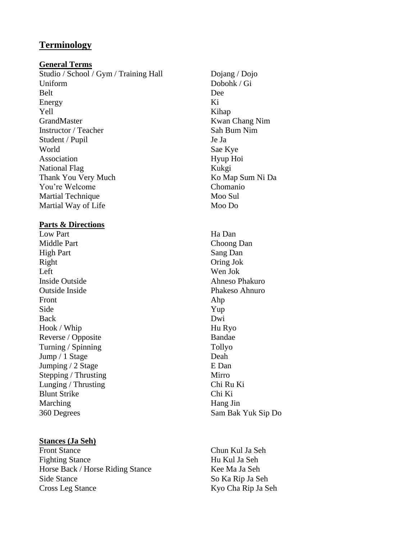## **Terminology**

#### **General Terms**

Studio / School / Gym / Training Hall Dojang / Dojo Uniform Dobohk / Gi Belt Dee Energy Ki Yell Kihap GrandMaster Kwan Chang Nim<br>
Instructor / Teacher Sah Bum Nim Instructor / Teacher Student / Pupil Je Ja World Sae Kye Association Hyup Hoi National Flag Kukgi Thank You Very Much Ko Map Sum Ni Da You're Welcome Chomanio Martial Technique Moo Sul Martial Way of Life Moo Do

### **Parts & Directions**

Low Part Ha Dan Middle Part Choong Dan High Part Sang Dan Right Oring Jok Left Wen Jok Inside Outside Ahneso Phakuro Outside Inside Phakeso Ahnuro Front Ahp Side Yup Back Dwi Hook / Whip Hu Ryo Reverse / Opposite Bandae Turning / Spinning Tollyo Jump / 1 Stage Deah Jumping / 2 Stage E Dan Stepping / Thrusting Mirro Lunging / Thrusting Chi Ru Ki Blunt Strike Chi Ki Marching Hang Jin 360 Degrees Sam Bak Yuk Sip Do

### **Stances (Ja Seh)**

Front Stance Chun Kul Ja Seh Fighting Stance Hu Kul Ja Seh Horse Back / Horse Riding Stance Kee Ma Ja Seh Side Stance So Ka Rip Ja Seh Cross Leg Stance Kyo Cha Rip Ja Seh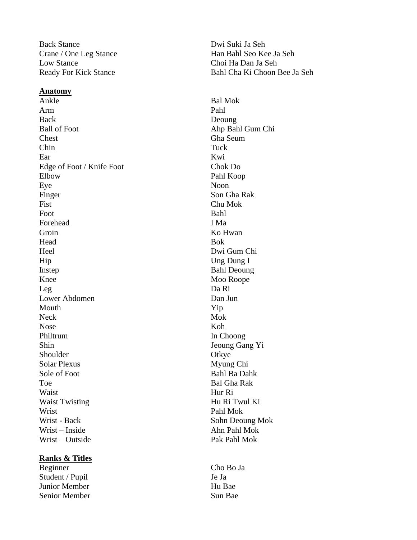Back Stance Dwi Suki Ja Seh Low Stance Choi Ha Dan Ja Seh

#### **Anatomy**

Ankle Bal Mok Arm Pahl Back Deoung Ball of Foot Ahp Bahl Gum Chi Chest Gha Seum Chin Tuck Ear Kwi Edge of Foot / Knife Foot Chok Do Elbow Pahl Koop Eye Noon Finger Son Gha Rak Fist Chu Mok Foot Bahl Forehead I Ma Groin Ko Hwan Head Bok Heel Dwi Gum Chi Hip Ung Dung I Instep Bahl Deoung Knee Moo Roope Leg Da Ri Lower Abdomen Dan Jun Mouth  $Yip$ Neck Mok Nose Koh Philtrum In Choong Shin Jeoung Gang Yi Shoulder Otkye Solar Plexus Myung Chi Sole of Foot Bahl Ba Dahk Toe Bal Gha Rak Waist Hur Ri Waist Twisting Hu Ri Twul Ki Wrist Pahl Mok Wrist - Back Sohn Deoung Mok Wrist – Inside Ahn Pahl Mok Wrist – Outside Pak Pahl Mok

### **Ranks & Titles**

Beginner Cho Bo Ja Student / Pupil Je Ja Junior Member **Hu Bae** Senior Member Sun Bae

Crane / One Leg Stance Han Bahl Seo Kee Ja Seh Ready For Kick Stance Bahl Cha Ki Choon Bee Ja Seh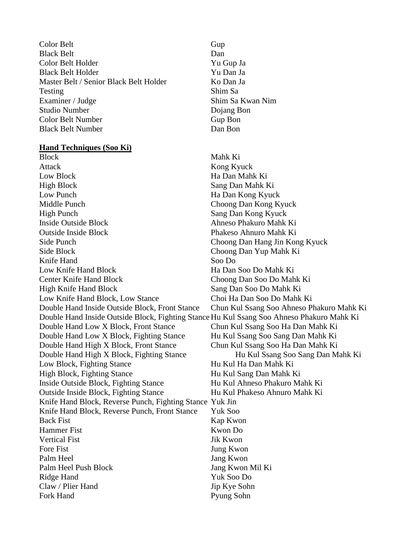Color Belt Gup Black Belt Dan Color Belt Holder Yu Gup Ja Black Belt Holder Yu Dan Ja Master Belt / Senior Black Belt Holder Ko Dan Ja Testing Shim Sa Examiner / Judge Shim Sa Kwan Nim Studio Number Dojang Bon Color Belt Number Gup Bon Black Belt Number Dan Bon

#### **Hand Techniques (Soo Ki)**

Block Mahk Ki Attack Kong Kyuck Low Block Ha Dan Mahk Ki High Block Sang Dan Mahk Ki Low Punch **Ha Dan Kong Kyuck** Middle Punch Choong Dan Kong Kyuck High Punch Sang Dan Kong Kyuck Inside Outside Block Ahneso Phakuro Mahk Ki Outside Inside Block Phakeso Ahnuro Mahk Ki Side Punch Choong Dan Hang Jin Kong Kyuck Side Block Choong Dan Yup Mahk Ki Knife Hand Soo Do Low Knife Hand Block Ha Dan Soo Do Mahk Ki Center Knife Hand Block Choong Dan Soo Do Mahk Ki High Knife Hand Block Sang Dan Soo Do Mahk Ki Low Knife Hand Block, Low Stance Choi Ha Dan Soo Do Mahk Ki Double Hand Inside Outside Block, Front Stance Chun Kul Ssang Soo Ahneso Phakuro Mahk Ki Double Hand Inside Outside Block, Fighting Stance Hu Kul Ssang Soo Ahneso Phakuro Mahk Ki Double Hand Low X Block, Front Stance Chun Kul Ssang Soo Ha Dan Mahk Ki Double Hand Low X Block, Fighting Stance Hu Kul Ssang Soo Sang Dan Mahk Ki Double Hand High X Block, Front Stance Chun Kul Ssang Soo Ha Dan Mahk Ki Double Hand High X Block, Fighting Stance Hu Kul Ssang Soo Sang Dan Mahk Ki Low Block, Fighting Stance Hu Kul Ha Dan Mahk Ki High Block, Fighting Stance Hu Kul Sang Dan Mahk Ki Inside Outside Block, Fighting Stance Hu Kul Ahneso Phakuro Mahk Ki Outside Inside Block, Fighting Stance Hu Kul Phakeso Ahnuro Mahk Ki Knife Hand Block, Reverse Punch, Fighting Stance Yuk Jin Knife Hand Block, Reverse Punch, Front Stance Yuk Soo Back Fist Kap Kwon Hammer Fist Kwon Do Vertical Fist Jik Kwon Fore Fist Jung Kwon Palm Heel Jang Kwon Palm Heel Push Block Jang Kwon Mil Ki Ridge Hand Yuk Soo Do Claw / Plier Hand Jip Kye Sohn Fork Hand Pyung Sohn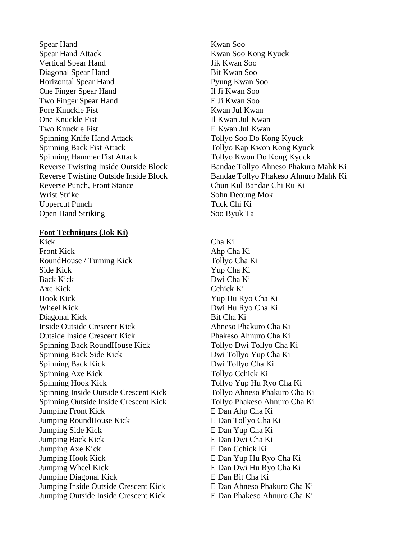Spear Hand Kwan Soo Spear Hand Attack Kwan Soo Kong Kyuck Vertical Spear Hand Jik Kwan Soo Diagonal Spear Hand Bit Kwan Soo Horizontal Spear Hand Pyung Kwan Soo One Finger Spear Hand II Ji Kwan Soo Two Finger Spear Hand E Ji Kwan Soo Fore Knuckle Fist **Kwan** Jul Kwan One Knuckle Fist II Kwan Jul Kwan Two Knuckle Fist **Example 1** E Kwan Jul Kwan Spinning Knife Hand Attack Tollyo Soo Do Kong Kyuck Spinning Back Fist Attack Tollyo Kap Kwon Kong Kyuck Spinning Hammer Fist Attack Tollyo Kwon Do Kong Kyuck Reverse Punch, Front Stance Chun Kul Bandae Chi Ru Ki Wrist Strike Sohn Deoung Mok Uppercut Punch Tuck Chi Ki Open Hand Striking Soo Byuk Ta

#### **Foot Techniques (Jok Ki)**

Kick Cha Ki Front Kick Ahp Cha Ki RoundHouse / Turning Kick Tollyo Cha Ki Side Kick Yup Cha Ki Back Kick Dwi Cha Ki Axe Kick Cchick Ki Hook Kick Yup Hu Ryo Cha Ki Wheel Kick Dwi Hu Ryo Cha Ki Diagonal Kick Bit Cha Ki Inside Outside Crescent Kick Ahneso Phakuro Cha Ki Outside Inside Crescent Kick Phakeso Ahnuro Cha Ki Spinning Back RoundHouse Kick Tollyo Dwi Tollyo Cha Ki Spinning Back Side Kick Dwi Tollyo Yup Cha Ki Spinning Back Kick Dwi Tollyo Cha Ki Spinning Axe Kick Tollyo Cchick Ki Spinning Hook Kick Tollyo Yup Hu Ryo Cha Ki Spinning Inside Outside Crescent Kick Tollyo Ahneso Phakuro Cha Ki Spinning Outside Inside Crescent Kick Tollyo Phakeso Ahnuro Cha Ki Jumping Front Kick E Dan Ahp Cha Ki Jumping RoundHouse Kick E Dan Tollyo Cha Ki Jumping Side Kick E Dan Yup Cha Ki Jumping Back Kick E Dan Dwi Cha Ki Jumping Axe Kick E Dan Cchick Ki Jumping Hook Kick E Dan Yup Hu Ryo Cha Ki Jumping Wheel Kick E Dan Dwi Hu Ryo Cha Ki Jumping Diagonal Kick E Dan Bit Cha Ki Jumping Inside Outside Crescent Kick E Dan Ahneso Phakuro Cha Ki Jumping Outside Inside Crescent Kick E Dan Phakeso Ahnuro Cha Ki

Reverse Twisting Inside Outside Block Bandae Tollyo Ahneso Phakuro Mahk Ki Reverse Twisting Outside Inside Block Bandae Tollyo Phakeso Ahnuro Mahk Ki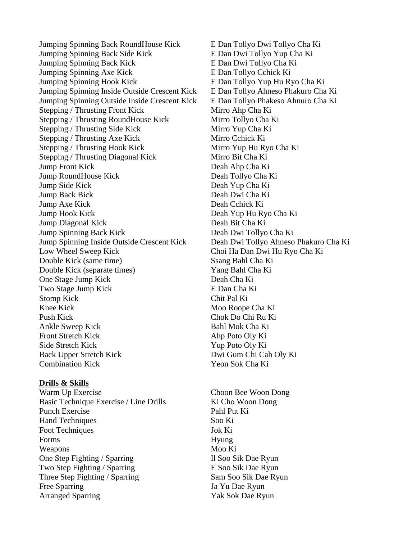Jumping Spinning Back RoundHouse Kick E Dan Tollyo Dwi Tollyo Cha Ki Jumping Spinning Back Side Kick E Dan Dwi Tollyo Yup Cha Ki Jumping Spinning Back Kick E Dan Dwi Tollyo Cha Ki Jumping Spinning Axe Kick E Dan Tollyo Cchick Ki Jumping Spinning Hook Kick E Dan Tollyo Yup Hu Ryo Cha Ki Jumping Spinning Inside Outside Crescent Kick E Dan Tollyo Ahneso Phakuro Cha Ki Jumping Spinning Outside Inside Crescent Kick E Dan Tollyo Phakeso Ahnuro Cha Ki Stepping / Thrusting Front Kick Mirro Ahp Cha Ki Stepping / Thrusting RoundHouse Kick Mirro Tollyo Cha Ki Stepping / Thrusting Side Kick Mirro Yup Cha Ki Stepping / Thrusting Axe Kick Mirro Cchick Ki Stepping / Thrusting Hook Kick Mirro Yup Hu Ryo Cha Ki Stepping / Thrusting Diagonal Kick Mirro Bit Cha Ki Jump Front Kick Deah Ahp Cha Ki Jump RoundHouse Kick Deah Tollyo Cha Ki Jump Side Kick Deah Yup Cha Ki Jump Back Bick Deah Dwi Cha Ki Jump Axe Kick Deah Cchick Ki Jump Hook Kick Deah Yup Hu Ryo Cha Ki Jump Diagonal Kick Deah Bit Cha Ki Jump Spinning Back Kick Deah Dwi Tollyo Cha Ki Jump Spinning Inside Outside Crescent Kick Deah Dwi Tollyo Ahneso Phakuro Cha Ki Low Wheel Sweep Kick Choi Ha Dan Dwi Hu Ryo Cha Ki Double Kick (same time) Ssang Bahl Cha Ki Double Kick (separate times) Yang Bahl Cha Ki One Stage Jump Kick Deah Cha Ki Two Stage Jump Kick E Dan Cha Ki Stomp Kick Chit Pal Ki Knee Kick Moo Roope Cha Ki Push Kick Chok Do Chi Ru Ki Ankle Sweep Kick Bahl Mok Cha Ki Front Stretch Kick Ahp Poto Oly Ki Side Stretch Kick Yup Poto Oly Ki Back Upper Stretch Kick Dwi Gum Chi Cah Oly Ki Combination Kick Yeon Sok Cha Ki

#### **Drills & Skills**

Warm Up Exercise Choon Bee Woon Dong Basic Technique Exercise / Line Drills Ki Cho Woon Dong Punch Exercise Pahl Put Ki Hand Techniques Soo Ki Foot Techniques Jok Ki Forms Hyung Weapons Moo Ki One Step Fighting / Sparring Il Soo Sik Dae Ryun Two Step Fighting / Sparring E Soo Sik Dae Ryun Three Step Fighting / Sparring Sam Soo Sik Dae Ryun Free Sparring Ja Yu Dae Ryun Arranged Sparring Yak Sok Dae Ryun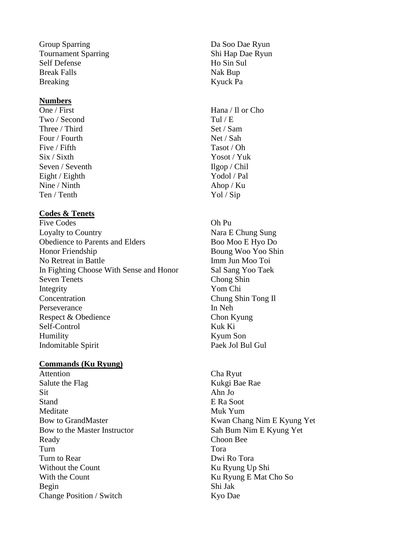Group Sparring Da Soo Dae Ryun Tournament Sparring Shi Hap Dae Ryun Self Defense Ho Sin Sul Break Falls Nak Bup Breaking Kyuck Pa

#### **Numbers**

One / First Hana / Il or Cho Two / Second Tul / E Three / Third Set / Sam Four / Fourth Net / Sah Five / Fifth Tasot / Oh Six / Sixth Yosot / Yuk Seven / Seventh Ilgop / Chil Eight / Eighth Yodol / Pal Nine / Ninth Ahop / Ku Ten / Tenth Yol / Sip

### **Codes & Tenets**

Five Codes Oh Pu Loyalty to Country Nara E Chung Sung Obedience to Parents and Elders Boo Moo E Hyo Do Honor Friendship Boung Woo Yoo Shin No Retreat in Battle Imm Jun Moo Toi In Fighting Choose With Sense and Honor Sal Sang Yoo Taek Seven Tenets Chong Shin Integrity Yom Chi Concentration Chung Shin Tong Il Perseverance In Neh Respect & Obedience Chon Kyung Self-Control Kuk Ki Humility Kyum Son Indomitable Spirit Paek Jol Bul Gul

#### **Commands (Ku Ryung)**

Attention Cha Ryut Salute the Flag Kukgi Bae Rae Sit Ahn Jo Stand E Ra Soot Meditate Muk Yum Bow to the Master Instructor Sah Bum Nim E Kyung Yet Ready Choon Bee Turn Tora Turn to Rear Dwi Ro Tora Without the Count Ku Ryung Up Shi With the Count Ku Ryung E Mat Cho So Begin Shi Jak Change Position / Switch Kyo Dae

Bow to GrandMaster Kwan Chang Nim E Kyung Yet